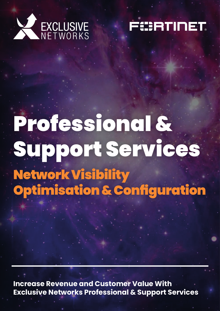



# Professional & Support Services Network Visibility Optimisation & Configuration

**Increase Revenue and Customer Value With Exclusive Networks Professional & Support Services**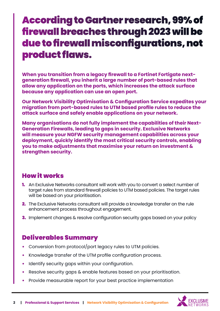# According to Gartner research, 99% of firewall breaches through 2023 will be due to firewall misconfigurations, not product flaws.

**When you transition from a legacy firewall to a Fortinet Fortigate nextgeneration firewall, you inherit a large number of port-based rules that allow any application on the ports, which increases the attack surface because any application can use an open port.** 

**Our Network Visibility Optimisation & Configuration Service expedites your migration from port-based rules to UTM based profile rules to reduce the attack surface and safely enable applications on your network.**

**Many organisations do not fully implement the capabilities of their Next-Generation Firewalls, leading to gaps in security. Exclusive Networks will measure your NGFW security management capabilities across your deployment, quickly identify the most critical security controls, enabling you to make adjustments that maximise your return on investment & strengthen security.** 

### How it works

- **1.** An Exclusive Networks consultant will work with you to convert a select number of target rules from standard firewall policies to UTM based policies. The target rules will be based on your prioritisation.
- 2. The Exclusive Networks consultant will provide a knowledge transfer on the rule enhancement process throughout engagement.
- **3.** Implement changes & resolve configuration security gaps based on your policy

## Deliverables Summary

- Conversion from protocol/port legacy rules to UTM policies.
- Knowledge transfer of the UTM profile configuration process.
- Identify security gaps within your configuration.
- Resolve security gaps & enable features based on your prioritisation.
- Provide measurable report for your best practice implementation